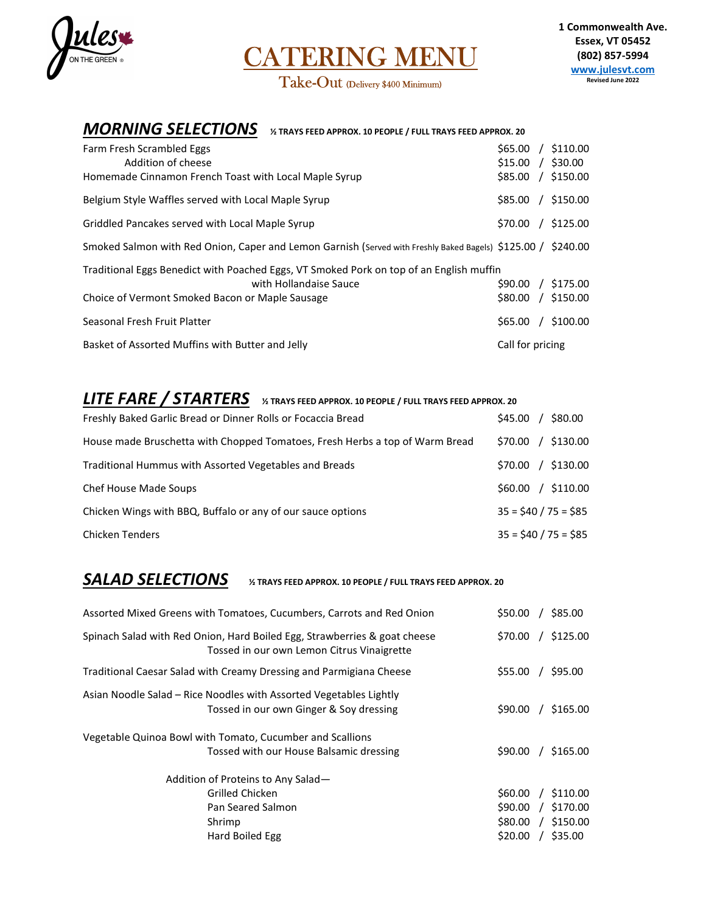

CATERING MENU Take-Out (Delivery \$400 Minimum)

# **MORNING SELECTIONS** % TRAYS FEED APPROX. 10 PEOPLE / FULL TRAYS FEED APPROX. 20

| Farm Fresh Scrambled Eggs<br>Addition of cheese<br>Homemade Cinnamon French Toast with Local Maple Syrup                                                             | \$65.00<br>$$15.00$ /<br>\$85.00 | $/$ \$110.00<br>\$30.00<br>$/$ \$150.00 |
|----------------------------------------------------------------------------------------------------------------------------------------------------------------------|----------------------------------|-----------------------------------------|
| Belgium Style Waffles served with Local Maple Syrup                                                                                                                  | \$85.00                          | $/$ \$150.00                            |
| Griddled Pancakes served with Local Maple Syrup                                                                                                                      | \$70.00                          | $/$ \$125.00                            |
| Smoked Salmon with Red Onion, Caper and Lemon Garnish (Served with Freshly Baked Bagels) \$125.00 / \$240.00                                                         |                                  |                                         |
| Traditional Eggs Benedict with Poached Eggs, VT Smoked Pork on top of an English muffin<br>with Hollandaise Sauce<br>Choice of Vermont Smoked Bacon or Maple Sausage | \$90.00<br>\$80.00               | / \$175.00<br>$/$ \$150.00              |
| Seasonal Fresh Fruit Platter                                                                                                                                         | \$65.00<br>$\sqrt{ }$            | \$100.00                                |
| Basket of Assorted Muffins with Butter and Jelly                                                                                                                     | Call for pricing                 |                                         |

# LITE FARE / STARTERS **% TRAYS FEED APPROX. 10 PEOPLE / FULL TRAYS FEED APPROX. 20**

| Freshly Baked Garlic Bread or Dinner Rolls or Focaccia Bread                 | $/$ \$80.00<br>\$45.00  |
|------------------------------------------------------------------------------|-------------------------|
| House made Bruschetta with Chopped Tomatoes, Fresh Herbs a top of Warm Bread | $/$ \$130.00<br>\$70.00 |
| Traditional Hummus with Assorted Vegetables and Breads                       | $/$ \$130.00<br>\$70.00 |
| Chef House Made Soups                                                        | $/$ \$110.00<br>\$60.00 |
| Chicken Wings with BBQ, Buffalo or any of our sauce options                  | $35 = $40 / 75 = $85$   |
| <b>Chicken Tenders</b>                                                       | $35 = $40 / 75 = $85$   |

### **SALAD SELECTIONS** % TRAYS FEED APPROX. 10 PEOPLE / FULL TRAYS FEED APPROX. 20

| Assorted Mixed Greens with Tomatoes, Cucumbers, Carrots and Red Onion                                                   | \$50.00 |          | \$85.00      |
|-------------------------------------------------------------------------------------------------------------------------|---------|----------|--------------|
| Spinach Salad with Red Onion, Hard Boiled Egg, Strawberries & goat cheese<br>Tossed in our own Lemon Citrus Vinaigrette | \$70.00 | $\prime$ | \$125.00     |
| Traditional Caesar Salad with Creamy Dressing and Parmigiana Cheese                                                     | \$55.00 |          | \$95.00      |
| Asian Noodle Salad – Rice Noodles with Assorted Vegetables Lightly<br>Tossed in our own Ginger & Soy dressing           | \$90.00 |          | \$165.00     |
| Vegetable Quinoa Bowl with Tomato, Cucumber and Scallions<br>Tossed with our House Balsamic dressing                    | \$90.00 |          | / \$165.00   |
| Addition of Proteins to Any Salad-                                                                                      |         |          |              |
| Grilled Chicken                                                                                                         | \$60.00 |          | $/$ \$110.00 |
| Pan Seared Salmon                                                                                                       | \$90.00 | $\prime$ | \$170.00     |
| Shrimp                                                                                                                  | \$80.00 |          | $/$ \$150.00 |
| Hard Boiled Egg                                                                                                         | \$20.00 |          | \$35.00      |